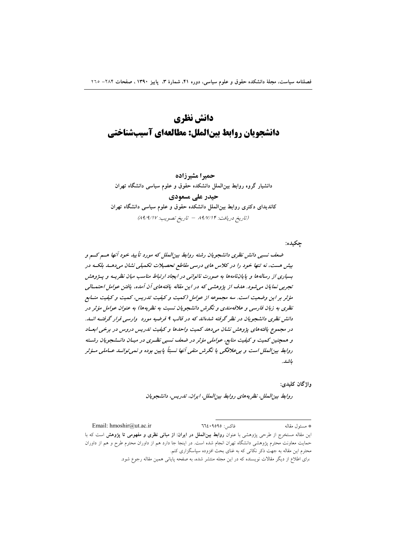# دانش نظري دانشجویان روابط بینالملل: مطالعهای آسیبشناختی

حميرا مشيرزاده دانشیار گروه روابط بینالملل دانشکده حقوق و علوم سیاسی دانشگاه تهران حیدر علے مسعودی کاندیدای دکتری روابط بین الملل دانشکده حقوق و علوم سیاسی دانشگاه تهران (تاريخ دريافت: ۸۹/٧/۱۴ - تاريخ تصويب: ۸۹/٩/١٧)

حكىدە:

ضعف نسبی دانش نظری دانشجویان رشته روابط بینالملل که مورد تأیید خود آنها هسم کسم و بیش هست، نه تنها خود را در کلاس های درسی مقاطع تحصیلات تکمیلی نشان می دهـد بلکـه در بسیاری از رسالهها و پایاننامهها به صورت ناتوانی در ایجاد ارتباط مناسب میان نظریـه و پـژوهش تجربی نمایان می شود. هدف از پژوهشی که در این مقاله یافتههای آن آمده، یافتن عوامل احتمـالی مؤثر بر این وضعیت است. سه مجموعه از عوامل (کمیت و کیفیت تدریس، کمیت و کیفیت منسابع نظری به زبان فارسی و علاقه مندی و نگرش دانشجویان نسبت به نظریهها) به عنوان عوامل مؤثر در دانش نظری دانشجویان در نظر گرفته شدهاند که در قالب ۹ فرضیه مورد وارسی قرار گرفتیه انید. در مجموع یافتههای پژوهش نشان میدهد کمیت واحدها و کیفیت تدریس دروس در برخی ابعـاد و همچنین کمیت و کیفیت منابع، عواملی مؤثر در ضعف نسبی نظـری در میـان دانـشعویان رشـته روابط بینالملل است و بی علاقگی یا نگرش منفی آنها نسبتاً پایین بوده و نمی توانسد عساملی مسؤثر ىاشد.

واژگان کليدي:

روابط بين الملل، نظريه هاي روابط بين الملل، ايران، تدريس، دانشجويان

Email: hmoshir@ut.ac.ir فاكس: ٩٥٩٥٩٥: \* مسئول مقاله این مقاله مستخرج از طرحی پژوهشی با عنوان **روابط بین الملل در ایران: از مبانی نظری و مفهومی تا پژوهش** است که با حمایت معاونت محترم پژوهشی دانشگاه تهران انجام شده است. در اینجا جا دارد هم از داوران محترم طرح و هم از داوران .<br>محترم این مقاله به جهت ذکر نکات<sub>ی</sub> که به غنای بحث افزوده سپاسگزاری کنم.

برای اطلاع از دیگر مقالات نویسنده که در این مجله منتشر شده، به صفحه پایانی همین مقاله رجوع شود.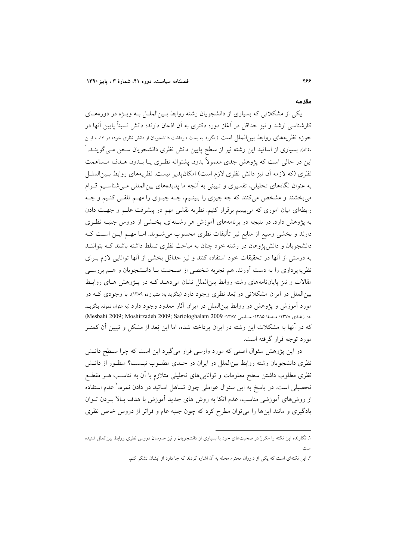#### مقدمه

یکی از مشکلاتی که بسیاری از دانشجویان رشته روابط بـین|لملـل بـه ویـژه در دورههـای کارشناسی ارشد و نیز حداقل در آغاز دوره دکتری به آن اذعان دارند؛ دانش نسبتاً پایین آنها در حوزه نظریههای روابط بین|لملل است (بنگرید به بحث «برداشت دانشجویان از دانش نظری خود» در ادامـه ایـن مقاله). بسیاری از اساتید این رشته نیز از سطح پایین دانش نظری دانشجویان سخن مـی گوینــد. ٰ این در حالی است که پژوهش جدی معمولاً بدون پشتوانه نظـری یــا بــدون هــدف مــساهمت نظري (كه لازمه أن نيز دانش نظري لازم است) امكان پذير نيست. نظريههاي روابط بـينالملــل به عنوان نگاههای تحلیلی، تفسیری و تبیینی به آنچه ما پدیدههای بین(لمللی مـی شناسـیم قـوام میبخشند و مشخص میکنند که چه چیزی را ببینـیم، چــه چیــزی را مهــم تلقــی کنـیم و چــه رابطهای میان اموری که میبینیم برقرار کنیم. نظریه نقشی مهم در پیشرفت علـم و جهـت دادن به پژوهش دارد. در نتیجه در برنامههای آموزش هر رشـتهای، بخـشی از دروس جنبــه نظـری دارند و بخشی وسیع از منابع نیر تألیفات نظری محسوب میشــوند. امــا مهــم ایــن اســت کــه دانشجویان و دانش پژوهان در رشته خود چنان به مباحث نظری تسلط داشته باشند کـه بتواننـد به درستی از آنها در تحقیقات خود استفاده کنند و نیز حداقل بخشی از آنها توانایی لازم بـرای نظریهپردازی را به دست آورند. هم تجربه شخصی از صحبت بـا دانـشجویان و هــم بررســی مقالات و نیز پایان(نامههای رشته روابط بین|لملل نشان می دهـد کـه در پــژوهش هـای روابـط بینالملل در ایران مشکلاتی در بُعد نظری وجود دارد (بنگرید به: مشیرزاده ۱۳۸۹). با وجودی کـه در مورد أموزش و پژوهش در روابط بین|لملل در ایران أثار معدود وجود دارد (به عنوان نمونه، بنگریـد به: ازغندي ١٣٧٨؛ مصفا ١٣٨٥؛ سـليمي ١٣٨٧؛ Mesbahi 2009; Moshirzadeh 2009; Sariologhalam 2009) که در آنها به مشکلات این رشته در ایران پرداخته شده، اما این بُعد از مشکل و تبیین آن کمتـر مورد توجه قرار گرفته است.

در این پژوهش سئوال اصلی که مورد وارسی قرار میگیرد این است که چرا سـطح دانـش نظری دانشجویان رشته روابط بینالملل در ایران در حـدی مطلـوب نیـست؟ منظـور از دانـش نظری مطلوب داشتن سطح معلومات و توانایی های تحلیلی متلازم با آن به تناسب هـر مقطـع تحصیلی است. در پاسخ به این سئوال عواملی چون تساهل اساتید در دادن نمره، ٔ عدم استفاده از روشهای آموزشی مناسب، عدم اتکا به روش های جدید آموزش با هدف بالا بـردن تـوان یادگیری و مانند اینها را می توان مطرح کرد که چون جنبه عام و فراتر از دروس خاص نظری

۱. نگار نده این نکته را مکررٌ در صحبتهای خود با بسیاری از دانشجویان و نیز مدرسان دروس نطری روابط بینالملل شنیده

۲. این نکتهای است که یکی از داوران محترم مجله به آن اشاره کردند که جا دارد از ایشان تشکر کنم.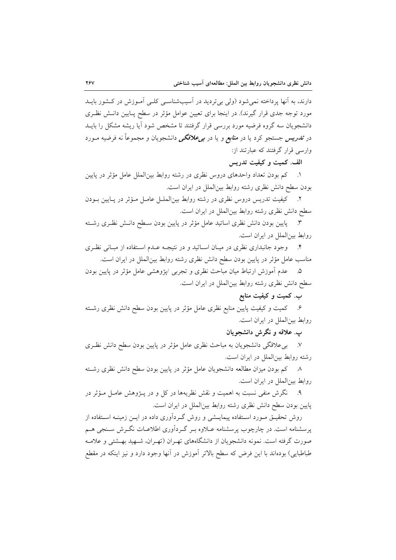دارند، به آنها پرداخته نمیشود (ولی بیتردید در آسیبشناسـی کلـی آمـوزش در کـشور بایــد مورد توجه جدی قرار گیرند). در اینجا برای تعیین عوامل مؤثر در سطح پـایین دانـش نظـری دانشجویان سه گروه فرضیه مورد بررسی قرار گرفتند تا مشخص شود آیا ریشه مشکل را بایــد در ت*ندریس جستجو کر*د یا در *منابع و یا در بی علاقگی* دانشجویان و مجموعاً نه فرضیه مــورد وارسے قرار گرفتند که عبارتند از:

## الف. كميت و كيفيت تدريس

۱. کم بودن تعداد واحدهای دروس نظری در رشته روابط بین الملل عامل مؤثر در پایین بودن سطح دانش نظری رشته روابط بینالملل در ایران است.

٢. كيفيت تدريس دروس نظري در رشته روابط بين الملـل عامـل مـؤثر در پـايين بـودن سطح دانش نظری رشته روابط بینالملل در ایران است.

۳. \_ پایین بودن دانش نظری اساتید عامل مؤثر در پایین بودن سـطح دانـش نظـری رشـته روابط بين الملل در ايران است.

۴. وجود جانبداری نظری در میـان اســاتید و در نتیجـه عــدم اســتفاده از مبــانی نظـری مناسب عامل مؤثر در پایین بودن سطح دانش نظری رشته روابط بین|لملل در ایران است.

۵. محدم آموزش ارتباط میان مباحث نظری و تجربی /پژوهشی عامل مؤثر در پایین بودن سطح دانش نظری رشته روابط بینالملل در ایران است.

## ب. کمیت و کیفیت منابع

۶. کمیت و کیفیت پایین منابع نظری عامل مؤثر در پایین بودن سطح دانش نظری رشــته روابط بين الملل در ايران است.

## ب. علاقه و نگرش دانشجویان

٧. بىءلاقگى دانشجويان به مباحث نظرى عامل مؤثر در پايين بودن سطح دانش نظـرى رشته روابط بین|لملل در ایران است.

۸ کم بودن میزان مطالعه دانشجویان عامل مؤثر در پایین بودن سطح دانش نظری رشـته روابط بینالملل در ایران است.

۹. نگرش منفی نسبت به اهمیت و نقش نظریهها در کل و در پـژوهش عامـل مـؤثر در پایین بودن سطح دانش نظری رشته روابط بین|لملل در ایران است.

روش تحقیــق مــورد اســتفاده پیمایــشی و روش گــردآوری داده در ایــن زمینــه اســتفاده از پرسشنامه است. در چارچوب پرسشنامه عــلاوه بــر گــرداّوری اطلاعــات نگــرش ســنجی هــم صورت گرفته است. نمونه دانشجویان از دانشگاههای تهـران (تهـران، شــهید بهــشتی و علامــه طباطبایی) بودهاند با این فرض که سطح بالاتر اَموزش در اَنها وجود دارد و نیز اینکه در مقطع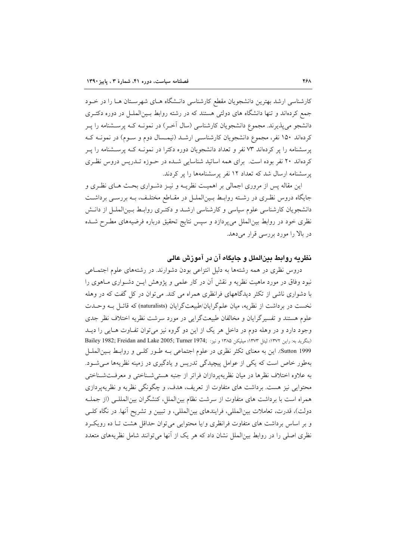کارشناسی ارشد بهترین دانشجویان مقطع کارشناسی دانـشگاه هـای شهرسـتان هـا را در خـود جمع کردهاند و تنها دانشگاه های دولتی هستند که در رشته روابط بـینالملـل در دوره دکتـری دانشجو میپذیرند. مجموع دانشجویان کارشناسی (سال آخـر) در نمونــه کــه پرســشنامه را پــر کردهاند ۱۵۰ نفر، مجموع دانشجویان کارشناسـی ارشـد (نیمـسال دوم و سـوم) در نمونــه کــه یرسشنامه را بر کردهاند ۷۳ نفر و تعداد دانشجویان دوره دکترا در نمونـه کـه پرسـشنامه را پـر کردهاند ۲۰ نفر بوده است. برای همه اساتید شناسایی شـده در حـوزه تـدریس دروس نظـری یر سشنامه ارسال شد که تعداد ۱۲ نفر پر سشنامهها را پر کردند.

این مقاله پس از مروری اجمالی بر اهمیت نظریــه و نیــز دشــواری بحــث هــای نظــری و جایگاه دروس نظـری در رشــته روابـط بــین|لملــل در مقــاطع مختلـف، بــه بررســی برداشــت دانشجویان کارشناسی علوم سیاسی و کارشناسی ارشـد و دکتـری روابـط بـینالملـل از دانـش نظری خود در روابط بینالملل میپردازد و سپس نتایج تحقیق درباره فرضیههای مطـرح شـده در بالا را مورد بررسی قرار میدهد.

## نظریه روابط بینالملل و جایگاه آن در آموزش عالی

دروس نظری در همه رشتهها به دلیل انتزاعی بودن دشوارند. در رشتههای علوم اجتمـاعی نبود وفاق در مورد ماهیت نظریه و نقش آن در کار علمی و پژوهش ایــن دشــواری مــاهوی را با دشواری ناشی از تکثر دیدگاههای فرانظری همراه می کند. می توان در کل گفت که در وهله نخست در برداشت از نظریه، میان علم گرایان/طبیعتگرایان (naturalists) که قائـل بـه وحـدت علوم هستند و تفسیرگرایان و مخالفان طبیعتگرایی در مورد سرشت نظریه اختلاف نظر جدی وجود دارد و در وهله دوم در داخل هر یک از این دو گروه نیز میتوان تفـاوت هـایی را دیــد (بنگرید به: راین ١٣٧٢؛ لیتل ١٣٧٣؛ میلیکن ١٣٨٥ و نیز: Bailey 1982; Freidan and Lake 2005; Turner 1974; Sutton 1999. این به معنای تکثر نظری در علوم اجتماعی بـه طـور کلـی و روابـط بـینالملـل بهطور خاص است که یکی از عوامل پیچیدگی تدریس و یادگیری در زمینه نظریهها مےشود. به علاوه اختلاف نظرها در ميان نظريه يردازان فراتر از جنبه هستي شـناختي و معرفـتشـناختي محتوایی نیز هست. برداشت های متفاوت از تعریف، هدف، و چگونگی نظریه و نظریهپردازی همراه است با برداشت های متفاوت از سرشت نظام بین|لملل، کنشگران بین|لمللـی (از جملـه دولت)، قدرت، تعاملات بینالمللی، فرایندهای بینالمللی، و تبیین و تشریح آنها. در نگاه کلـی و بر اساس برداشت های متفاوت فرانظری و/یا محتوایی می توان حداقل هشت تـا ده رویکـرد نظری اصلی را در روابط بین|لملل نشان داد که هر یک از آنها میتوانند شامل نظریههای متعدد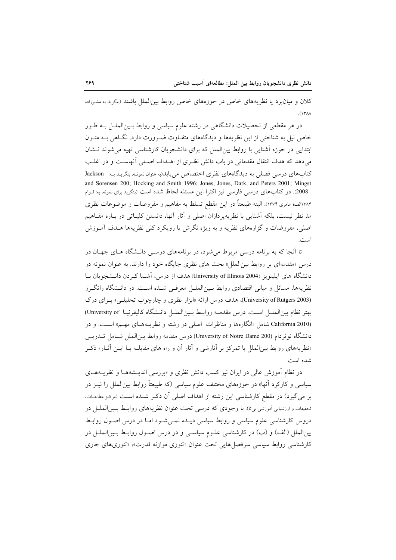کلان و میان برد یا نظریههای خاص در حوزههای خاص روابط بین الملل باشند (بنگرید به مشیرزاده  $(14)$ 

در هر مقطعی از تحصیلات دانشگاهی در رشته علوم سیاسی و روابط بـینالملـل بـه طـور خاص نیل به شناختی از این نظریهها و دیدگاههای متفـاوت ضـرورت دارد. نگــاهی بــه متــون ابتدایی در حوزه آشنایی با روابط بین الملل که برای دانشجویان کارشناسی تهیه می شوند نــشان میدهد که هدف انتقال مقدماتی در باب دانش نظـری از اهــداف اصـلی آنهاسـت و در اغلـب كتابهاي درسي فصلي به ديدگاههاي نظري اختصاص مي يابد(به عنوان نمونـه، بنگريـد بـه: Jackson and Sorensen 200; Hocking and Smith 1996; Jones, Jones, Dark, and Peters 2001; Mingst 2008). در کتابهای درسی فارسی نیز اکثراً این مسئله لحاظ شده است (بنگرید برای نمونه، به: قـوام ۱۳۸۴الف؛ عامری ۱۳۷۴). البته طبیعتاً در این مقطع تسلط به مفاهیم و مفروضات و موضوعات نظری مد نظر نیست، بلکه آشنایی با نظریهپردازان اصلی و آثار آنها، دانستن کلیـاتی در بـاره مفـاهیم اصلی، مفروضات و گزارههای نظریه و به ویژه نگرش یا رویکرد کلی نظریهها هــدف آمــوزش است.

تا آنجا که به برنامه درسی مربوط می شود، در برنامههای درســی دانــشگاه هــای جهــان در درس «مقدمهای بر روابط بین|لملل» بحث های نظری جایگاه خود را دارند. به عنوان نمونه در دانشگاه های ایلینویز (University of Illinois 2004) هدف از درس، آشـنا کـردن دانــشجویان بــا نظریهها، مسائل و مبانی اقتصادی روابط بـینالملــل معرفــی شــده اســت. در دانــشگاه راتگــرز (University of Rutgers 2003)، هدف درس ارائه «ابزار نظري و چارچوب تحليلي» بـراي درک بهتر نظام بين|لملــل اسـت. درس مقدمــه روابــط بــين|لملــل دانــشگاه كاليفرنيــا University of) California 2010) شامل «انگارهها و مناظرات اصلی در رشته و نظریـههـای مهـم» اسـت. و در دانشگاه نوتردام (University of Notre Dame 200) درس مقدمه روابط بین الملل شـامل تــدریس «نظریههای روابط بین|لملل با تمرکز بر آنارشی و آثار آن و راه های مقابلـه بــا ایــن آثــار» ذکــر شده است.

در نظام آموزش عالی در ایران نیز کسب دانش نظری و «بررسی اندیـشههــا و نظریــههــای سیاسی و کارکرد آنها» در حوزههای مختلف علوم سیاسی (که طبیعتاً روابط بینالملل را نیــز در بر می گیرد) در مقطع کارشناسی این رشته از اهداف اصلی آن ذکـر شـده اسـت (مرکـز مطالعـات. تحقیقات و ارزشیابی آموزشی بیتا). با وجودی که درسی تحت عنوان نظریههای روابط بسین الملسل در دروس کارشناسی علوم سیاسی و روابط سیاسی دیـده نمـیشـود امـا در درس اصـول روابـط بین الملل (الف) و (ب) در کارشناسی علـوم سیاسـی و در درس اصـول روابـط بـین|لملـل در کارشناسی روابط سیاسی سرفصل هایی تحت عنوان «تئوری موازنه قدرت»، «تئوری های جاری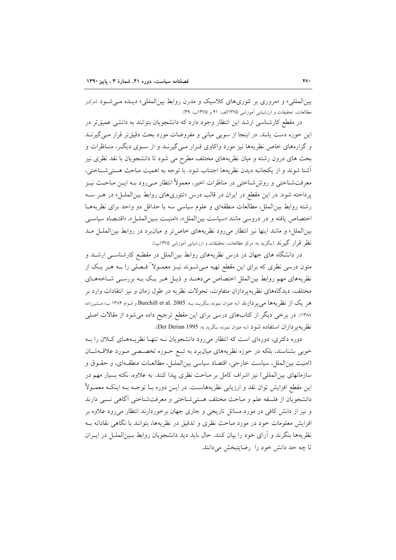بین المللی» و «مروری بر تئوریهای کلاسیک و مدرن روابط بین المللی» دیـده مـی شـود (مرکـز مطالعات، تحقیقات و ارزشیابی آموزشی ۱۳۷۵الف: ۴۱ و ۱۳۷۵ب: ۳۹).

در مقطع کارشناسی ارشد این انتظار وجود دارد که دانشجویان بتوانند به دانشی عمیقتر در این حوزه دست یابند. در اینجا از سویی مبانی و مفروضات مورد بحث دقیقتر قرار مـی گیرنــد و گزارههای خاص نظریهها نیز مورد واکاوی قـرار مـی گیرنــد و از ســوی دیگــر، منــاظرات و بحث های درون رشته و میان نظریههای مختلف مطرح می شود تا دانشجویان با نقد نظری نیز أشنا شوند و از يكجانبه ديدن نظريهها اجتناب شود. با توجه به اهميت مباحث هستي شـناختي، معرفتشناختی و روششناختی در مناظرات اخیر، معمولاً انتظار مـیرود بـه ایــن مباحـث نیــز یرداخته شود. در این مقطع در ایران در قالب درس «تئوریهای روابط بینالملل» در هـر سـه رشته روابط بین|لملل، مطالعات منطقهای و علوم سیاسی سه یا حداقل دو واحد برای نظریههـا اختصاص يافته و در دروسي مانند «سياست بين الملل»، «امنيت بـين الملـل»، «اقتـصاد سياسـي بين|لملل» و مانند اينها نيز انتظار مى رود نظريههاى خاص تر و ميان برد در روابط بين|لملـل مــد نظر قرار گیرند (بنگرید به: مرکز مطالعات، تحقیقات و ارزشیابی آموزشی ۱۳۷۵پ).

در دانشگاه های جهان در درس نظریههای روابط بینالملل در مقطع کارشناسـی ارشــد و متون درسی نظری که برای این مقطع تهیه مـیشــوند نیــز معمــولاً فــصلی را بــه هــر یــک از نظریههای مهم روابط بین|لملل اختصاص میدهنـد و ذیـل هـر یـک بـه بررسـی شـاخههـای مختلف، دیدگاههای نظریهپردازان متفاوت، تحولات نظریه در طول زمان و نیز انتقادات وارد بر هر یک از نظریهها می پردازند (به عنوان نمونه، بنگریــد بــه: Burchill et al. 2005 و قـوام ۱۳۸۴ ب؛ مـشيرزاده ۱۳۸۸). در برخی دیگر از کتابهای درسی برای این مقطع ترجیح داده می شود از مقالات اصلی نظر يه ير دازان استفاده شود (به عنوان نمونه، بنكريد به: Der Derian 1995).

دوره دکتری، دورهای است که انتظار میرود دانشجویان نــه تنهـا نظریــههـای کــلان را بــه خوبی بشناسند، بلکه در حوزه نظریههای میانبرد به تبـع حــوزه تخصــصی مــورد علاقــهشــان (امنيت بينالملل، سياست خارجي، اقتصاد سياسي بين|لملـل، مطالعـات منطقـهاي، و حقـوق و سازمانهای بین|لمللی) نیز اشراف کامل بر مباحث نظری پیدا کنند. به علاوه، نکته بسیار مهم در این مقطع افزایش توان نقد و ارزیابی نظریههاست. در ایــن دوره بــا توجــه بــه اینکــه معمــولاً دانشجويان از فلسفه علم و مباحث مختلف هستي شناختي و معرفتشناختي آگاهي نسبي دارند و نیز از دانش کافی در مورد مسائل تاریخی و جاری جهان برخوردارند انتظار می رود علاوه بر افزایش معلومات خود در مورد مباحث نظری و تدقیق در نظریهها، بتوانند با نگاهی نقادانه بـه نظریهها بنگرند و آرای خود را بیان کنند. حال باید دید دانشجویان روابط بسینالملـل در ایــران تا چه حد دانش خود را رضایتبخش می دانند.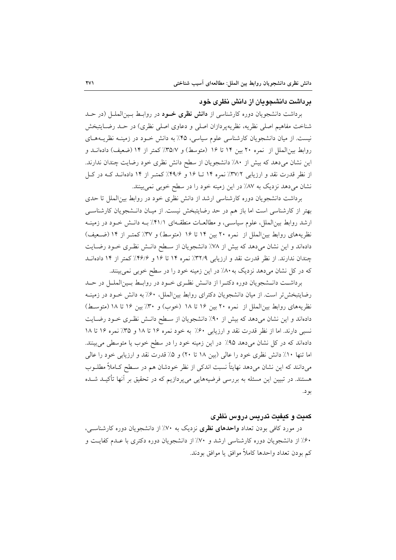#### بر داشت دانشجو بان از دانش نظری خود

برداشت دانشجویان دوره کارشناسی از **دانش نظری خــود** در روابـط بــینالملــل (در حــد شناخت مفاهیم اصلی نظریه، نظریهپردازان اصلی و دعاوی اصلی نظری) در حـد رضـایتبخش نیست. از میان دانشجویان کارشناسی علوم سیاسی، ۴۵٪ به دانش خـود در زمینــه نظریــههـای روابط بين الملل از نمره ٢٠ بين ١٤ تا ١۶ (متوسط) و ٣٥/٧٪ كمتر از ١٤ (ضعيف) دادهانــد و این نشان میدهد که بیش از ۸۰٪ دانشجویان از سطح دانش نظری خود رضایت چندان ندارند. از نظر قدرت نقد و ارزیابی ٣٧/٢٪ نمره ١۴ تــا ١۶ و ٣٩/۶٪ کمتـر از ١۴ دادهانـد کـه در کـل نشان میدهد نزدیک به ۸۷٪ در این زمینه خود را در سطح خوبی نمیبینند.

برداشت دانشجویان دوره کارشناسی ارشد از دانش نظری خود در روابط بین الملل تا حدی بهتر از کارشناسی است اما باز هم در حد رضایتبخش نیست. از میـان دانـشجویان کارشناسـی ارشد روابط بینالملل، علوم سیاسبی، و مطالعـات منطقـهای ۴۱/۱٪ بـه دانـش خـود در زمینـه نظریههای روابط بین الملل از نمره ۲۰ بین ۱۴ تا ۱۶ (متوسط) و ۳۷٪ کمتـر از ۱۴ (ضـعیف) دادهاند و این نشان میدهد که بیش از ۷۸٪ دانشجویان از سـطح دانـش نظـری خـود رضـایت چندان ندارند. از نظر قدرت نقد و ارزیابی ٣٢/٩٪ نمره ١۴ تا ١۶ و ٣۶/۶٪ کمتر از ١۴ دادهانـد که در کل نشان میدهد نزدیک به ۸۰٪ در این زمینه خود را در سطح خوبی نمیبینند.

برداشت دانـشجويان دوره دكتـرا از دانـش نظـري خـود در روابـط بـين|لملـل در حـد رضایتبخش تر است. از میان دانشجویان دکترای روابط بین الملل، ۶۰٪ به دانش خـود در زمینـه نظريههاي روابط بين الملل از نمره ٢٠ بين ١۶ تا ١٨ (خوب) و ٣٠٪ بين ١۶ تا ١٨ (متوسط) دادهاند و این نشان میدهد که بیش از ۹۰٪ دانشجویان از سطح دانـش نظـری خـود رضـایت نسبی دارند. اما از نظر قدرت نقد و ارزیابی ۶۰٪ به خود نمره ۱۶ تا ۱۸ و ۳۵٪ نمره ۱۶ تا ۱۸ دادهاند که در کل نشان میدهد ۹۵٪ در این زمینه خود را در سطح خوب یا متوسطی میبینند. اما تنها ١٠٪ دانش نظري خود را عالي (بين ١٨ تا ٢٠) و ۵٪ قدرت نقد و ارزيابي خود را عالي می،دانند که این نشان می،دهد نهایتاً نسبت اندکی از نظر خودشان هم در سـطح کــاملاً مطلــوب هستند. در تبیین این مسئله به بررسی فرضیههایی میپردازیم که در تحقیق بر آنها تأکیــد شــده بو د.

#### کمیت و کیفیت تدریس دروس نظری

در مورد کافی بودن تعداد **واحدهای نظری** نزدیک به ۷۰٪ از دانشجویان دوره کارشناس<sub>ت</sub>، ۶۰٪ از دانشجویان دوره کارشناسی ارشد و ۷۰٪ از دانشجویان دوره دکتری با عـدم کفایـت و كم بودن تعداد واحدها كاملاً موافق يا موافق بودند.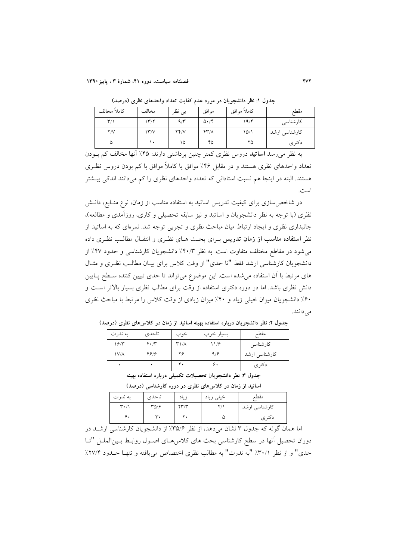| كاملأ مخالف             | مخالف                     | بى نظر | موافق                        | كاملأ موافق | مقطع          |
|-------------------------|---------------------------|--------|------------------------------|-------------|---------------|
| $\mathbf{r}/\mathbf{v}$ | 17'                       | 9/7    | $\Delta \cdot / \mathcal{F}$ | ۱۹/۴        | كارشناسى      |
| Y/V                     | $\mathcal{N}'\mathcal{N}$ | YY/V   | $YY/\Lambda$                 | 10/1        | کارشناسی ارشد |
| ۵                       | ۱۰                        | ۱۵     | ۴۵                           | ۲۵          | دكترى         |

حدول ۱: نظر دانشجو بان در مورد عدم کفایت تعداد واحدهای نظری (درصد)

به نظر می رسد ا**ساتید** دروس نظری کمتر چنین برداشتی دارند: ۴۵٪ آنها مخالف کم بــودن تعداد واحدهای نظری هستند و در مقابل ۴۶٪ موافق یا کاملاً موافق با کم بودن دروس نظـری هستند. البته در اینجا هم نسبت استادانی که تعداد واحدهای نظری را کم میدانند اندکی بیـشتر است.

در شاخص سازی برای کیفیت تدریس اساتید به استفاده مناسب از زمان، نوع منــابع، دانــش نظري (با توجه به نظر دانشجويان و اساتيد و نيز سابقه تحصيلي و كاري، روزآمدي و مطالعه)، جانبداری نظری و ایجاد ارتباط میان مباحث نظری و تجربی توجه شد. نمرهای که به اساتید از نظر ا**ستفاده مناسب از زمان تدری**س بـرای بحـث هـای نظـری و انتقـال مطالـب نظـری داده می شود در مقاطع مختلف متفاوت است. به نظر ۴۰/۳٪ دانشجویان کارشناسی و حدود ۴۷٪ از دانشجویان کارشناسی ارشد فقط "تا حدی" از وقت کلاس برای بیـان مطالـب نظـری و مثـال های مرتبط با آن استفاده می شده است. این موضوع می تواند تا حدی تبیین کننده سـطح پـایین دانش نظری باشد. اما در دوره دکتری استفاده از وقت برای مطالب نظری بسیار بالاتر است و ۶۰٪ دانشجویان میزان خیلی زیاد و ۴۰٪ میزان زیادی از وقت کلاس را مرتبط با مباحث نظری می دانند.

| 19/7<br>$\mathbf{r} \cdot \mathbf{r}$<br>$\mathsf{r}\mathsf{1}/\mathsf{A}$<br>11/9<br>كارشناسى<br>۴۶۱۶<br>۲۶<br>9/9<br>$\frac{1}{\Lambda}$ | به ندرت | تاحدي ا | خوب | بسیار خوب | مقطع          |
|--------------------------------------------------------------------------------------------------------------------------------------------|---------|---------|-----|-----------|---------------|
|                                                                                                                                            |         |         |     |           |               |
|                                                                                                                                            |         |         |     |           | کارشناسی ارشد |
| ۴.<br>۶.<br>دكترى                                                                                                                          |         |         |     |           |               |

جدول ۲: نظر دانشجویان درباره استفاده بهینه اساتید از زمان در کلاس های نظری (درصد)

جدول ٣: نظر دانشجو يان تحصيلات تكميلي درباره استفاده بهينه

| به ندرت                       | تاحدي | زياد | خیلی زیاد | مقطع          |
|-------------------------------|-------|------|-----------|---------------|
| $\mathbf{r} \cdot \mathbf{r}$ | ۳۵/۶  | YY'  |           | كارشناسي ارشد |
| ۴.                            | ۳.    | ۲.   | ω         | دكترى         |

اساتید از زمان در کلاسهای نظری در دوره کارشناسی (درصد)

اما همان گونه که جدول ۳ نشان می دهد، از نظر ۳۵/۶٪ از دانشجویان کارشناسی ارشـد در دوران تحصیل آنها در سطح کارشناسی بحث های کلاس هـای اصـول روابـط بـین|لملـل "تـا حدي" و از نظر ٣٠/١٪ "به ندرت" به مطالب نظري اختصاص مي يافته و تنهـا حـدود ٣٧/٢٪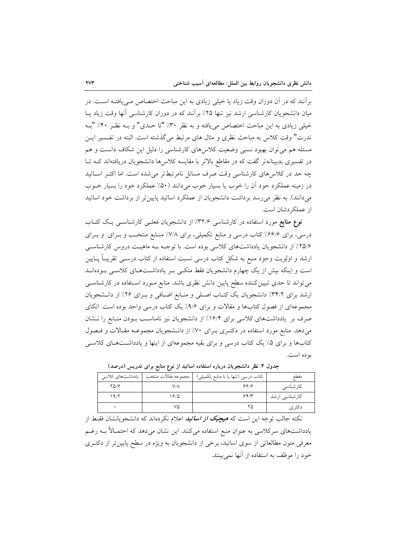برآنند که در آن دوران وقت زیاد یا خیلی زیادی به این مباحث اختصاص مـی،یافتـه اسـت. در میان دانشجویان کارشناسی ارشد نیز تنها ۲۵٪ بر آنند که در دوران کارشناسی آنها وقت زیاد پــا خيلي زيادي به اين مباحث اختصاص مي يافته و به نظر ٣٠٪ "تا حـدي" و بــه نظـر ٣٠٪ "بــه ندرت" وقت كلاس به مباحث نظري و مثال هاي مرتبط مي گذشته است. البته در تفـسير ايــن مسئله هم می توان بهبود نسبی وضعیت کلاس های کارشناسی را دلیل این شکاف دانست و هم در تفسیری بدبینانهتر گفت که در مقاطع بالاتر با مقایسه کلاس۵ها دانشجویان دریافتهاند کـه تـا چه حد در کلاس های کارشناسی وقت صرف مسائل نامرتبطتر می شده است. اما اکثـر اسـاتید در زمینه عملکرد خود آن را خوب یا بسیار خوب می دانند (۵۰٪ عملکرد خود را بسیار خــوب میدانند). به نظر می رسد برداشت دانشجویان از عملکرد اساتید پایین تر از برداشت خود اساتید از عملکه دشان است.

نوع منابع مورد استفاده در کارشناسی ۳۲/۶٪ از دانشجویان فعلـی کارشناسـی یـک کتـاب درسی، برای ۶۶/۶٪ کتاب درسی و منابع تکمیلی، برای ۷/۸٪ منـابع منتخـب و بـرای و بـرای ۲۵/۶٪ از دانشجویان یادداشتهای کلاسی بوده است. با توجـه بـه ماهیـت دروس کارشناسـی ارشد و اولویت وجود منبع به شکل کتاب درسی نسبت استفاده از کتاب درســی تقریبـاً پــایین است و اینکه بیش از یک چهارم دانشجویان فقط متکبی بـر یادداشـتهـای کلاسـی بـودهانــد میتواند تا حدی تبیینکننده سطح پایین دانش نظری باشد. منابع مـورد اسـتفاده در کارشناسـی ارشد برای ٣٤/٢٪ دانشجویان یک کتـاب اصـلی و منـابع اضـافی و بـرای ٢۶٪ از دانـشجویان مجموعهای از فصول کتابها و مقالات و برای ۹/۶٪ یک کتاب درسی واحد بوده است. اتکای صرف بر یادداشتهای کلاسی برای ۱۶/۴٪ از دانشجویان نیز نامناسب بـودن منـابع را نـشان میدهد. منابع مورد استفاده در دکتـری بـرای ۷۰٪ از دانـشجویان مجموعـه مقـالات و فـصول کتابها و برای ۵٪ یک کتاب درسی و برای بقیه مجموعهای از اینها و یادداشتهای کلاسبی بو ده است.

|      |      | كتاب درسي (تنها يا با منابع تكميلي)   مجموعه مقالات منتخب   يادداشتهاى كلاسى | مقطع          |
|------|------|------------------------------------------------------------------------------|---------------|
| YQ/F | ۷/۸  | ۶۶۱۶                                                                         | کارشناسی      |
| ۱۹٬۲ | 1810 | 557                                                                          | کارشناسی ارشد |
|      | ٧۵   |                                                                              | د دتر ی       |

جدول ۴: نظر دانشجویان درباره استفاده اساتید از نوع منابع برای تدریس (درصد)

نکته جالب توجه این است که هیچی*ک از اساتید* اعلام نکردهاند که دانشجویانشان فقـط از یادداشتهای سرکلاسی به عنوان منبع استفاده میکنند. این نشان میدهد که احتمـالاً بــه رغــم معرفی متون مطالعاتی از سوی اساتید، برخی از دانشجویان به ویژه در سطح پایین تر از دکتـری خود را موظف به استفاده از آنها نمرسنند.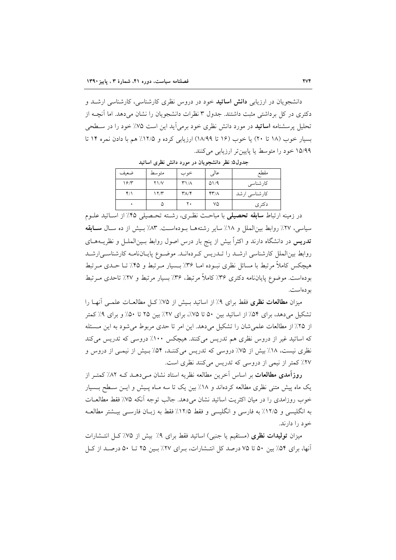دانشجویان در ارزیابی **دانش اساتید** خود در دروس نظری کارشناسی، کارشناسی ارشــد و دکتری در کل برداشتی مثبت داشتند. جدول ۳ نظرات دانشجویان را نشان می دهد. اما آنچــه از تحلیل پرسشنامه **اساتید** در مورد دانش نظری خود برمیآید این است ۷۵٪ خود را در ســطحی بسیار خوب (١٨ تا ٢٠) یا خوب (١۶ تا ١٨/٩٩) ارزیابی کرده و ١٢/٥٪ هم با دادن نمره ١۴ تا ۱۵/۹۹ خود را متوسط یا پایینتر ارزیابی میکنند.

|  |  |  |  |  |  |  |  | جدول۵: نظر دانشجویان در مورد دانش نظری اساتید |  |
|--|--|--|--|--|--|--|--|-----------------------------------------------|--|
|--|--|--|--|--|--|--|--|-----------------------------------------------|--|

| ضعىف        | متوسط          | خوب                               | عالی                      | مقطع          |
|-------------|----------------|-----------------------------------|---------------------------|---------------|
| 19/7        | $Y\frac{1}{V}$ | ۳۱/۸                              | $\Delta$ 1/9              | کارشناسی      |
| $Y/\lambda$ | ۱۲/۳           | $\mathsf{r}_{\Lambda/\mathsf{f}}$ | $\mathbf{y} - \mathbf{y}$ | کارشناسی ارشد |
|             | ω              | ٢٠                                | ٧۵                        | دکتر ی        |
|             |                |                                   |                           |               |

در زمینه ارتباط **سابقه تحصیلی** با مباحث نظـری، رشـته تحـصیلی ۴۵٪ از اسـاتید علــوم سیاسی، ۲۷٪ روابط بین الملل و ۱۸٪ سایر رشتههـا بـودهاسـت. ۸۳٪ بـیش از ده سـال سـابقه **تدریس** در دانشگاه دارند و اکثراً بیش از پنج بار درس اصول روابط بـینالملــل و نظریــههــای روابط بین|لملل کارشناسی ارشـد را تــدریس کـردهانــد. موضـوع پایــانiامــه کارشناســی|رشــد هیچکس کاملاً مرتبط با مسائل نظری نبـوده امــا ۳۶٪ بــسیار مــرتبط و ۴۵٪ تــا حــدی مــرتبط بودهاست. موضوع پایانiامه دکتری ۳۶٪ کاملاً مرتبط، ۳۶٪ بسیار مرتبط و ۲۷٪ تاحدی مـرتبط بو دەاست.

میزان م**طالعات نظری** فقط برای ۹٪ از اساتید بـیش از ۷۵٪ کـل مطالعــات علمــی آنهــا را تشکیل می دهد، برای ۵۴٪ از اساتید بین ۵۰ تا ۷۵٪، برای ۲۷٪ بین ۲۵ تا ۵۰٪ و برای ۹٪ کمتر از ۲۵٪ از مطالعات علمی شان را تشکیل میدهد. این امر تا حدی مربوط می شود به این مسئله که اساتید غیر از دروس نظری هم تدریس میکنند. هیچکس ١٠٠٪ دروسی که تدریس میکند نظری نیست، ۱۸٪ بیش از ۷۵٪ دروسی که تدریس میکننـد، ۵۴٪ بـیش از نیمـی از دروس و ٢٧٪ كمتر از نيمي از دروسي كه تدريس مي كنند نظري است.

روزآمدی مطالعات بر اساس آخرین مطالعه نظریه استاد نشان مـیcهـد کـه ۸۲٪ کمتـر از یک ماه پیش متنی نظری مطالعه کردهاند و ۱۸٪ بین یک تا سه مـاه پـیش و ایـن سـطح بـسیار خوب روزامدی را در میان اکثریت اساتید نشان میدهد. جالب توجه آنکه ۷۵٪ فقط مطالعـات به انگلیسی و ۱۲/۵٪ به فارسی و انگلیسی و فقط ۱۲/۵٪ فقط به زبـان فارسـی بیـشتر مطالعـه خو د را دارند.

میزان **تولیدات نظری** (مستقیم یا جنبی) اساتید فقط برای ۹٪ بیش از ۷۵٪کل انتـشارات آنها، برای ۵۴٪ بین ۵۰ تا ۷۵ درصد کل انتـشارات، بـرای ۲۷٪ بـین ۲۵ تــا ۵۰ درصـد از کـل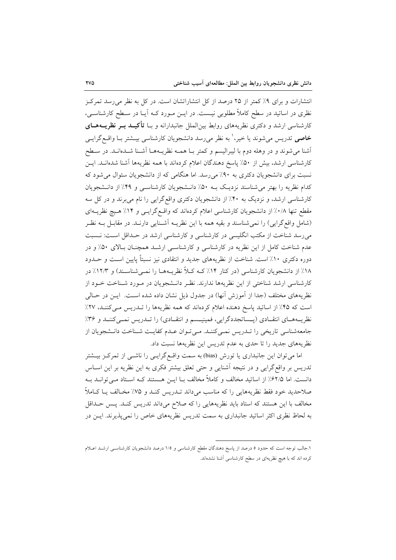انتشارات و برای ۹٪ کمتر از ۲۵ درصد از کل انتشاراتشان است. در کل به نظر می رسد تمرکز نظری در اساتید در سطح کاملاً مطلوبی نیــست. در ایــن مــورد کــه اَیــا در ســطح کارشناســی، کارشناسی ارشد و دکتری نظریههای روابط بین|لملل جانبدارانه و بـا **تأکیــد بــر نظریـــههــای خاصی** تدریس میشوند یا خیر،' به نظر میررسد دانشجویان کارشناسی بیــشتر بــا واقــع گرایــی .<br>آشنا می شوند و در وهله دوم با لیبرالیسم و کمتر بـا همـه نظریـههـا آشـنا شــدهانــد. در ســطح کارشناسی ارشد، بیش از ۵۰٪ پاسخ دهندگان اعلام کردهاند با همه نظریهها آشنا شدهانـد. ایــن نسبت برای دانشجویان دکتری به ۹۰٪ میرسد. اما هنگامی که از دانشجویان سئوال می شود که کدام نظریه را بهتر می شناسند نزدیک بـه ۵۰٪ دانـشجویان کارشناسـی و ۴۹٪ از دانـشجویان کارشناسی ارشد، و نزدیک به ۴۰٪ از دانشجویان دکتری واقع گرایی را نام می برند و در کل سه مقطع تنها ۰/۸٪ از دانشجویان کارشناسی اعلام کردهاند که واقع گرایسی و ۱۴٪ هـیچ نظریــهای (شامل واقع گرایی) را نمی شناسند و بقیه همه با این نظریــه آشــنایی دارنــد. در مقابــل بــه نظــر میرسد شناخت از مکتب انگلیسی در کارشناسی و کارشناسی ارشد در حـداقل اسـت: نـسبت عدم شناخت کامل از این نظریه در کارشناسی و کارشناسی ارشـد همچنـان بـالای ۵۰٪ و در دوره دکتری ۱۰٪ است. شناخت از نظریههای جدید و انتقادی نیز نسبتاً پایین است و حــدود ۱۸٪ از دانشجویان کارشناسی (در کنار ۱۴٪ کـه کـلاً نظریــههــا را نمــیشناســند) و ۱۲/۳٪ در كارشناسي ارشد شناختي از اين نظريهها ندارند. نظـر دانـشجويان در مـورد شـناخت خـود از نظريههاي مختلف (جداً از آموزش آنها) در جدول ذيل نشان داده شده است. ايــن در حــالـي است که ۴۵٪ از اساتید پاسخ دهنده اعلام کردهاند که همه نظریهها را تـدریس مـیکننـد، ۲۷٪ نظریــههــای انتقــادی (پـــساتجددگرایی، فمینیــسم و انتقــادی) را تــدریس نمــیکننــد و ۳۶٪ جامعهشناسی تاریخی را تـدریس نمـیکننـد. مـی تـوان عـدم کفایـت شـناخت دانـشجویان از نظریههای جدید را تا حدی به عدم تدریس این نظریهها نسبت داد.

اما میتوان این جانبداری یا تورش (bias) به سمت واقـع گرایـی را ناشــی از تمرکــز بیــشتر تدریس بر واقع گرایی و در نتیجه آشنایی و حتی تعلق بیشتر فکری به این نظریه بر این اسـاس دانست. اما ۶۲/۵٪ از اساتید مخالف و کاملاً مخالف بـا ایــن هــستند کـه اسـتاد مــی توانــد بــه صلاحدید خود فقط نظریههایی را که مناسب میداند تــدریس کنــد و ۷۵٪ مخــالف یــا کــاملاً مخالف با این هستند که استاد باید نظریههایی را که صلاح میداند تدریس کنـد. پـس حـداقل به لحاظ نظری اکثر اساتید جانبداری به سمت تدریس نظریههای خاص را نمی پذیرند. ایــن در

۱.جالب توجه است که حدود ۵ درصد از پاسخ دهندگان مقطع کارشناسی و ۱/۵ درصد دانشجویان کارشناسـی ارشــد اعــلام کرده اند که با هیچ نظریهای در سطح کارشناسی آشنا نشدهاند.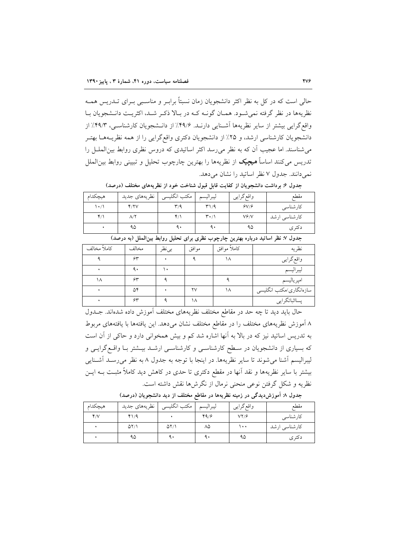حالی است که در کل به نظر اکثر دانشجویان زمان نسبتاً برابـر و مناسـبی بـرای تــدریس همــه نظریهها در نظر گرفته نمی شـود. همـان گونــه کــه در بـالا ذکـر شــد، اکثریــت دانــشجویان بــا واقع گرایی بیشتر از سایر نظریهها آشـنایی دارنـد. ۴۹/۶٪ از دانـشجویان کارشناسـی، ۴۹/۳٪ از دانشجویان کارشناسی ارشد، و ۲۵٪ از دانشجویان دکتری واقع گرایی را از همه نظریـههـا بهتـر می شناسند. اما عجیب آن که به نظر می رسد اکثر اساتیدی که دروس نظری روابط بین الملـل را تدريس مي كنند اساساً **ميجيک** از نظريهها را بهترين چارچوب تحليل و تبييني روابط بين|لملل نمی دانند. جدول ۷ نظر اساتید را نشان می دهد.

| هيچكدام                                                                            | نظريههاي جديد | مكتب انگليسي | ليبراليسم                     | واقع گرايي | مقطع          |  |  |  |
|------------------------------------------------------------------------------------|---------------|--------------|-------------------------------|------------|---------------|--|--|--|
| $\lambda \cdot / \lambda$                                                          | Y/Y           | ۳/۹          | T/9                           | 8V/8       | کارشناسی      |  |  |  |
| $Y/\lambda$                                                                        |               |              | $\mathbf{r} \cdot \mathbf{r}$ | Vf/V       | كارشناسي ارشد |  |  |  |
|                                                                                    | ۹۵            |              |                               | ۹۵         | دکتر ی        |  |  |  |
| حلول لا نظر اساتیار درباره بوترن حارجون نظرم بر این تجلیل روابط بربالعال (به درصد) |               |              |                               |            |               |  |  |  |

جدول ۶: برداشت دانشجویان از کفایت قابل قبول شناخت خود از نظریههای مختلف (درصد)

| جندون ۰٫ نفتر اسانید درباره بهترین چارچوب نفتری برای تاسین روابط بین نشتن ربه درخشه |       |        |        |             |                         |  |  |  |
|-------------------------------------------------------------------------------------|-------|--------|--------|-------------|-------------------------|--|--|--|
| كاملأ مخالف                                                                         | مخالف | بي نظر | مو افق | كاملأ موافق | نظريه                   |  |  |  |
|                                                                                     | ۶۳    |        |        | ۱۸          | واقع گرايي              |  |  |  |
|                                                                                     | ٩.    |        |        |             | ليبراليسم               |  |  |  |
|                                                                                     | ۶۳    |        |        |             | امپرياليسم              |  |  |  |
|                                                                                     | ۵۴    |        | ۲V     | ۱۸          | سازەانگارى/مكتب انگليسى |  |  |  |
|                                                                                     | ç٣    |        |        |             | پسااثباتگرایی           |  |  |  |

حال باید دید تا چه حد در مقاطع مختلف نظریههای مختلف آموزش داده شدهاند. جـدول ٨ آموزش نظريههاي مختلف را در مقاطع مختلف نشان مىدهد. اين يافتهها با يافتههاي مربوط به تدریس اساتید نیز که در بالا به آنها اشاره شد کم و بیش همخوانی دارد و حاکی از آن است که بسیاری از دانشجویان در سطح کارشناسـی و کارشناسـی ارشــد بیــشتر بــا واقــع گرایــی و لیبرالیسم آشنا می شوند تا سایر نظریهها. در اینجا با توجه به جدول ۸ به نظر می رسـد آشـنایی بیشتر با سایر نظریهها و نقد آنها در مقطع دکتری تا حدی در کاهش دید کاملاً مثبت بــه ایــن نظريه و شكل گرفتن نوعي منحني نرمال از نگرش۵ما نقش داشته است.

| هيچكدام | نظريههاي جديد | مكتب انگليسي | ليبراليسم | واقع گرايي       | مقطع          |
|---------|---------------|--------------|-----------|------------------|---------------|
| Y/V     | Y1/9          |              | 49/5      | $VY/\mathcal{G}$ | كارشناسى      |
|         | 07/1          | $\Delta Y/1$ | ۸۵        | ۰۰۱              | كارشناسي ارشد |
|         | ۹۵            |              |           | ۹۵               | د کتر ی       |

جدول ۸: اَموزِش دیدگی در زمینه نظریهها در مقاطع مختلف از دید دانشجویان (درصد)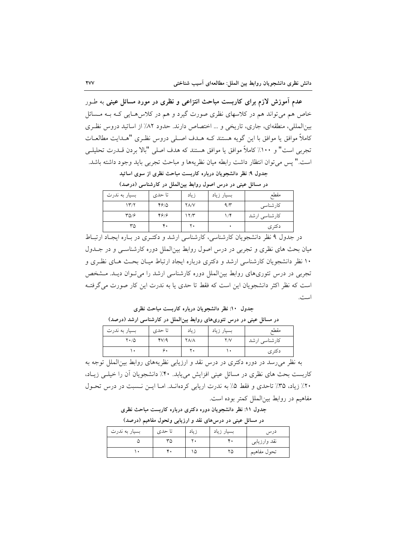عدم آموزش لازم برای کاربست مباحث انتزاعی و نظری در مورد مسائل عینی به طـور خاص هم می تواند هم در کلاسهای نظری صورت گیرد و هم در کلاس هـایی کـه بـه مـسائل بینالمللی، منطقهای، جاری، تاریخی و ... اختصاص دارند. حدود ۸۲٪ از اساتید دروس نظری كاملاً موافق يا موافق با اين گويه هستند كـه هـدف اصـلي دروس نظـري "هـدايت مطالعـات تجربي است" و ١٠٠٪ كاملاً موافق يا موافق هستند كه هدف اصلي "بالا بردن قــدرت تحليلـي است." پس مي توان انتظار داشت رابطه ميان نظريهها و مباحث تجربي بايد وجود داشته باشد.

جدول ۹: نظر دانشجویان درباره کاربست مباحث نظری از سوی اساتید در مسائل عینی در درس اصول روابط بینالملل در کارشناسی (درصد)

| - -              | ں ب ب  |                 | ں ۔ س د ت ر دی ت | - -           |
|------------------|--------|-----------------|------------------|---------------|
| بسیار به ندرت    | تا حدی | زياد            | بسیار زیاد       | مقطع          |
| ۱۳/۲             | 4910   | YA/V            | 9/7              | كارشناسى      |
| $TQ/\mathcal{F}$ | ۴۶۱۶   | $\gamma \gamma$ | $1/\mathfrak{F}$ | كارشناسي ارشد |
| ٣۵               | ۴٠     | ٢٠              |                  | دکتر ی        |
|                  |        |                 |                  |               |

در جدول ۹ نظر دانشجویان کارشناسی، کارشناسی ارشد و دکتـری در بـاره ایجـاد ارتبـاط میان بحث های نظری و تجربی در درس اصول روابط بینالملل دوره کارشناسـی و در جــدول ۱۰ نظر دانشجویان کارشناسی ارشد و دکتری درباره ایجاد ارتباط میـان بحـث هـای نظـری و تجربی در درس تئوریهای روابط بین الملل دوره کارشناسی ارشد را می تـوان دیـد. مـشخص است که نظر اکثر دانشجویان این است که فقط تا حدی یا به ندرت این کار صورت می گرفتـه است.

جدول ۱۰: نظر دانشجویان درباره کاربست مباحث نظری

در مسائل عینی در درس تئوریهای روابط بین|لملل در کارشناسی ارشد (درصد)

| بسیار به ندرت      | تا حدی | زياد        | بسيار زياد | مقطع          |
|--------------------|--------|-------------|------------|---------------|
| $Y \cdot / \Delta$ | fV/A   | <b>YA/A</b> | ۲/۷        | کارشناسی ارشد |
|                    | 7,     | τ۰          |            | دکتر ی        |

به نظر می رسد در دوره دکتری در درس نقد و ارزیابی نظریههای روابط بین الملل توجه به کاربست بحث های نظری در مسائل عینی افزایش می یابد. ۴۰٪ دانشجویان آن را خیلبی زیـاد، ۲۰٪ زیاد، ۳۵٪ تاحدی و فقط ۵٪ به ندرت اریابی کردهانـد. امـا ایـن نـسبت در درس تحـول مفاهيم در روابط بين|لملل كمتر بوده است.

جدول ۱۱: نظر دانشجویان دوره دکتری درباره کاربست مباحث نظری

|               | - -    |       |            |              |
|---------------|--------|-------|------------|--------------|
| بسيار به ندرت | تا حدی | زياد  | بسيار زياد | درس          |
|               | ٣۵     |       | ۳۰         | نقد وارزيابي |
|               | ⊤ ∙    | نیا آ | ۲۵         | تحول مفاهيم  |

در مسائل عینی در درس های نقد و ارزیابی وتحول مفاهیم (درصد)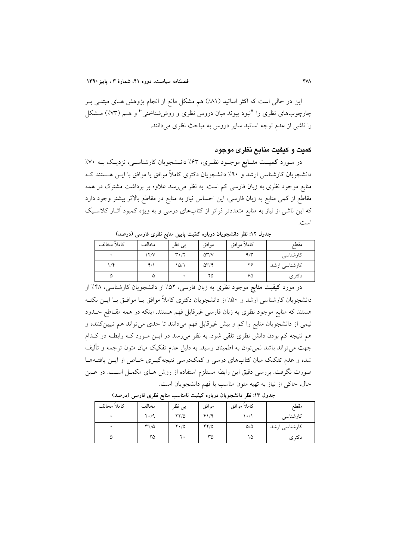این در حالی است که اکثر اساتید (۸۱٪) هم مشکل مانع از انجام پژوهش هـای مبتنـی بـر چارچوبهای نظری را "نبود پیوند میان دروس نظری و روششناختی" و هـم (٧٣٪) مـشکل را ناشی از عدم توجه اساتید سایر دروس به مباحث نظری می دانند.

## كميت و كيفيت منابع نظري موجود

در مـورد **کمیــت منــابع** موجــود نظـری، ۶۳٪ دانــشجویان کارشناســی، نزدیــک بــه ۷۰٪ دانشجویان کارشناسی ارشد و ۹۰٪ دانشجویان دکتری کاملاً موافق یا موافق با ایـن هـستند کـه منابع موجود نظری به زبان فارسی کم است. به نظر میرسد علاوه بر برداشت مشترک در همه مقاطع از کمی منابع به زبان فارسی، این احساس نیاز به منابع در مقاطع بالاتر بیشتر وجود دارد که این ناشی از نیاز به منابع متعددتر فراتر از کتابهای درسی و به ویژه کمبود آثـار کلاسـیک است.

| .           |       |                               |                              |             |               |  |  |
|-------------|-------|-------------------------------|------------------------------|-------------|---------------|--|--|
| كاملأ مخالف | مخالف | بى نظر                        | موافق                        | كاملأ موافق | مقطع          |  |  |
|             | YY    | $\mathbf{r} \cdot \mathbf{r}$ | $\Delta Y/V$                 | 9/3         | كارشناسى      |  |  |
|             | ۴۱۱   | ۱۵٬۱                          | $\Delta \Upsilon / \Upsilon$ | ۲۶          | كارشناسي ارشد |  |  |
| ۵           | ۵     |                               | ۲۵                           | ۶۵          | دكترى         |  |  |

حدول ١٢: نظر دانشجه بان درباره كمّيت بايين منابع نظري فارسي (درصد)

در مورد **کیفیت منابع** موجود نظری به زبان فارسی، ۵۲٪ از دانشجویان کارشناسی، ۴۸٪ از دانشجویان کارشناسی ارشد و ۵۰٪ از دانشجویان دکتری کاملاً موافق یـا موافـق بـا ایــن نکتــه هستند که منابع موجود نظری به زبان فارسی غیرقابل فهم هستند. اینکه در همه مقـاطع حــدود نيمي از دانشجويان منابع را كم و بيش غيرقابل فهم مي دانند تا حدى مي تواند هم تبيين كننده و هم نتیجه کم بودن دانش نظری تلقی شود. به نظر میرسد در ایـن مـورد کـه رابطـه در کـدام جهت می تواند باشد نمی توان به اطمینان رسید. به دلیل عدم تفکیک میان متون ترجمه و تألیف شده و عدم تفکیک میان کتابهای درسی و کمکدرسی نتیجهگیـری خـاص از ایــن یافتــههــا صورت نگرفت. بررسی دقیق این رابطه مستلزم استفاده از روش هـای مکمــل اســت. در عــین حال، حاكي از نياز به تهيه متون مناسب با فهم دانشجويان است.

| كاملأ مخالف | مخالف       | بى نظر             | موافق | كاملأ موافق     | مقطع          |
|-------------|-------------|--------------------|-------|-----------------|---------------|
|             | $Y \cdot 4$ | 77/0               | 41/9  | ۱۰/۱            | كارشناسى      |
|             | $T1/\Delta$ | $Y \cdot / \Delta$ | 47/0  | $\Delta/\Delta$ | كارشناسي ارشد |
| ۵           | ۲۵          | ٢٠                 | ٣۵    | ۱۵              | دكترى         |

جدول ۱۳: نظر دانشجویان درباره کیفیت نامناسب منابع نظری فارسی (درصد)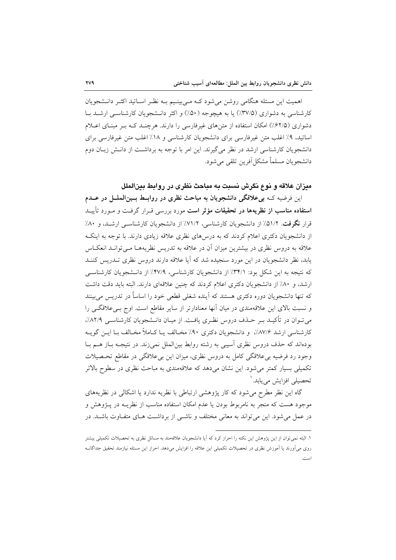اهمیت این مسئله هنگامی روشن می شود کـه مـی بینـیم بـه نظـر اسـاتید اکثـر دانــشجویان کارشناسی به دشواری (۳۷/۵٪) یا به هیچوجه (۵۰٪) و اکثر دانـشجویان کارشناسـی ارشـد بـا دشواری (۶۲/۵٪) امکان استفاده از متن های غیرفارسی را دارند. هرچنـد کـه بـر مبنـای اعـلام اساتید، ۹٪ اغلب متن غیرفارسی برای دانشجویان کارشناسی و ۱۸٪ اغلب متن غیرفارسی برای دانشجویان کارشناسی ارشد در نظر می گیرند. این امر با توجه به برداشت از دانـش زبـان دوم دانشجويان مسلماً مشكل[فرين تلقى مى شود.

## میزان علاقه و نوع نگرش نسبت به مباحث نظری در روابط بینالملل

این فرضیه کـه بی علاقگی دانشجویان به مباحث نظری در روابـط بـینالملــل در عــدم **استفاده مناسب از نظریهها در تحقیقات مؤثر است** مورد بررسی قــرار گرفــت و مــورد تأییــد قرار نگرفت. ۵۱/۲٪ از دانشجویان کارشناسی، ۷۱/۲٪ از دانشجویان کارشناسبی ارشـد، و ۸۰٪ از دانشجویان دکتری اعلام کردند که به درسهای نظری علاقه زیادی دارند. با توجه به اینک علاقه به دروس نظری در بیشترین میزان آن در علاقه به تدریس نظریههـا مـی توانـد انعکـاس یابد، نظر دانشجویان در این مورد سنجیده شد که آیا علاقه دارند دروس نظری تــدریس کننــد که نتیجه به این شکل بود: ٣۴/١٪ از دانشجویان کارشناسی، ۴۷/۹٪ از دانـشجویان کارشناسـی ارشد، و ۸۰٪ از دانشجویان دکتری اعلام کردند که چنین علاقهای دارند. البته باید دقت داشت که تنها دانشجویان دوره دکتری هستند که آینده شغلی قطعی خود را اساساً در تدریس می بینند و نسبت بالای این علاقهمندی در میان آنها معنادارتر از سایر مقاطع است. اوج بےعلاقگے را می تـوان در تأکیــد بــر حــذف دروس نظـری یافــت. از میــان دانــشجویان کارشناســی ۸۲/۹٪، كارشناسي ارشد ٨٧/۶٪، و دانشجويان دكترى ٩٠٪ مخـالف يـا كــاملاً مخـالف بــا ايــن گويــه بودهاند که حذف دروس نظری آسیبی به رشته روابط بین|لملل نمی(ند. در نتیجـه بــاز هــم بــا وجود رد فرضیه بی علاقگی کامل به دروس نظری، میزان این بی علاقگی در مقاطع تحـصیلات تکمیلی بسیار کمتر میشود. این نشان میدهد که علاقهمندی به مباحث نظری در سطوح بالاتر تحصیلی افزایش می یابد. '

گاه این نظر مطرح می شود که کار پژوهشی ارتباطی با نظریه ندارد یا اشکالی در نظریههای موجود هست که منجر به نامربوط بودن یا عدم امکان استفاده مناسب از نظریــه در پــژوهش و در عمل می شود. این می تواند به معانی مختلف و ناشـی از برداشـت هـای متفـاوت باشـد. در

۱. البته نمی توان از این یژوهش این نکته را احراز کرد که آیا دانشجویان علاقهمند به مسائل نظری به تحصیلات تکمیلی بیشتر روی میآورند یا آموزش نظری در تحصیلات تکمیلی این علاقه را افزایش میدهد. احراز این مسئله نیازمند تحقیق جداگانــه استرجى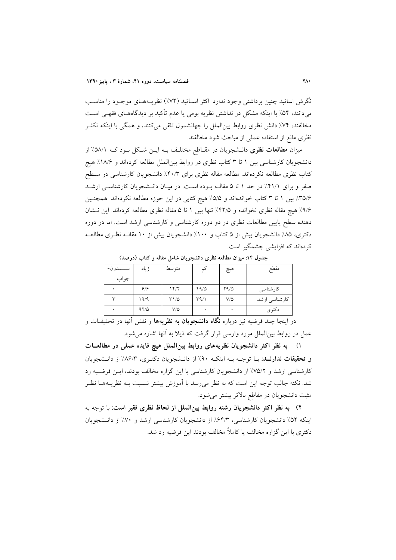نگرش اساتید چنین برداشتی وجود ندارد. اکثر اسـاتید (۷۲٪) نظریــههـای موجـود را مناسـب می دانند، ۵۴٪ با اینکه مشکل در نداشتن نظریه بومی یا عدم تأکید بر دیدگاههـای فقهـی اسـت مخالفند، ۷۴٪ دانش نظری روابط بینالملل را جهانشمول تلقی میکنند، و همگی با اینکه تکثـر نظري مانع از استفاده عملي از مباحث شود مخالفند.

میزان **مطالعات نظری** دانـشجویان در مقـاطع مختلـف بــه ایــن شـكل بــود كــه ۵۸/۱٪ از دانشجویان کارشناسی بین ۱ تا ۳ کتاب نظری در روابط بینالملل مطالعه کردهاند و ۱۸/۶٪ هیچ کتاب نظری مطالعه نکردهاند. مطالعه مقاله نظری برای ۴۰/۳٪ دانشجویان کارشناسی در سـطح صفر و برای ۴۱/۱٪ در حد ۱ تا ۵ مقالـه بـوده اسـت. در میـان دانـشجویان کارشناسـی ارشـد ۳۵/۶٪ بین ۱ تا ۳ کتاب خواندهاند و ۵/۵٪ هیچ کتابی در این حوزه مطالعه نکردهاند. همچنـین ۹/۶٪ هیچ مقاله نظری نخوانده و ۴۲/۵٪ تنها بین ۱ تا ۵ مقاله نظری مطالعه کردهاند. این نـشان دهنده سطح پایین مطالعات نظری در دو دوره کارشناسی و کارشناسی ارشد است. اما در دوره دکتری، ۸۵٪ دانشجویان بیش از ۵ کتاب و ۱۰۰٪ دانشجویان بیش از ۱۰ مقالـه نظـری مطالعـه کر دہاند که افزایشی چشمگیر است.

|            | زياد | متوسط      | ئم   | هيچ        | مقطع          |
|------------|------|------------|------|------------|---------------|
| جواب       |      |            |      |            |               |
|            | 9/9  | 14/        | 44/0 | Y9/0       | كارشناسى      |
| $\check{}$ | ۱۹/۹ | T1/2       | 44/1 | $V/\Delta$ | کارشناسی ارشد |
|            | 97/0 | $V/\Delta$ |      |            | دكترى         |

جدول ۱۴: میزان مطالعه نظری دانشجویان شامل مقاله و کتاب (درصد)

در اینجا چند فرضیه نیز درباره **نگاه دانشجویان به نظریهها** و نقش آنها در تحقیقــات و عمل در روابط بینالملل مورد وارسی قرار گرفت که ذیلا به آنها اشاره می شود.

۱) به نظر اکثر دانشجویان نظریههای روابط بینالملل هیچ فایده عملی در مطالعــات و تحقیقات ندارنـد: بــا توجــه بــه اینکــه ۹۰٪ از دانــشجویان دکتــری، ۸۶/۳٪ از دانــشجویان کارشناسی ارشد و ۷۵/۲٪ از دانشجویان کارشناسی با این گزاره مخالف بودند، ایــن فرضـیه رد شد. نکته جالب توجه این است که به نظر می رسد با آموزش بیشتر نـسبت بـه نظریـههـا نظـر مثبت دانشجویان در مقاطع بالاتر بیشتر میشود.

٢) ً به نظر اكثر دانشجويان رشته روابط بين|لملل از لحاظ نظري فقير است: با توجه به اینکه ۵۲٪ دانشجویان کارشناسی، ۶۴/۳٪ از دانشجویان کارشناسی ارشد و ۷۰٪ از دانـشجویان دکتری با این گزاره مخالف یا کاملاً مخالف بودند این فرضیه رد شد.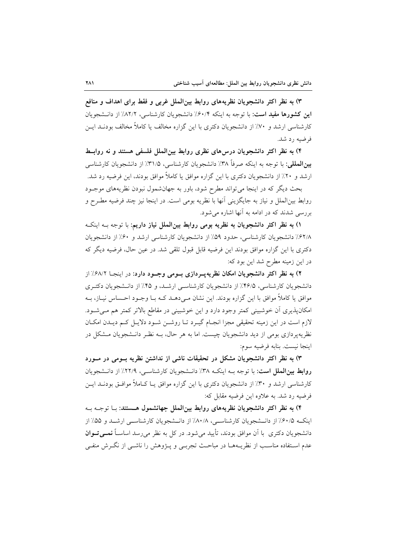۳) به نظر اکثر دانشجویان نظریههای روابط بینالملل غربی و فقط برای اهداف و منافع این کشورها مفید است: با توجه به اینکه ۶۰/۴٪ دانشجویان کارشناسی، ۸۲/۲٪ از دانـشجویان کارشناسی ارشد و ۷۰٪ از دانشجویان دکتری با این گزاره مخالف یا کاملاً مخالف بودنــد ایــن فرضيه رد شد.

۴) به نظر اکثر دانشجویان درس۵ای نظری روابط بین الملل فلسفی هستند و نه روابط **بینالمللی**: با توجه به اینکه صرفاً ۳۸٪ دانشجویان کارشناسی، ۳۱/۵٪ از دانشجویان کارشناسی ارشد و ۲۰٪ از دانشجویان دکتری با این گزاره موافق یا کاملاً موافق بودند، این فرضیه رد شد.

بحث دیگر که در اینجا می تواند مطرح شود، باور به جهان شمول نبودن نظریههای موجـود روابط بين|لملل و نياز به جايگزيني آنها با نظريه بومي است. در اينجا نيز چند فرضيه مطـرح و بررسی شدند که در ادامه به آنها اشاره می شود.

١) به نظر اكثر دانشجويان به نظريه بومي روابط بين الملل نياز داريم: با توجه بــه اينكــه ۶۲/۸٪ دانشجویان کارشناسی، حدود ۵۹٪ از دانشجویان کارشناسی ارشد و ۶۰٪ از دانشجویان دکتری با این گزاره موافق بودند این فرضیه قابل قبول تلقی شد. در عین حال، فرضیه دیگر که در این زمینه مطرح شد این بود که:

۲) به نظر اکثر دانشجویان امکان نظریه پــردازی بــومی وجــود دارد: در اینجــا ۶۸/۲٪ از دانشجویان کارشناسی، ۴۶/۵٪ از دانشجویان کارشناسی ارشد، و ۴۵٪ از دانـشجویان دکتـری موافق یا کاملاً موافق با این گزاره بودند. این نشان مـی۵هــد کــه بــا وجــود احــساس نیــاز، بــه امکانپذیری آن خوشبینی کمتر وجود دارد و این خوشبینی در مقاطع بالاتر کمتر هم مےشود. لازم است در این زمینه تحقیقی مجزا انجـام گیـرد تـا روشـن شـود دلایـل کـم دیـدن امکـان نظریهپردازی بومی از دید دانشجویان چیست. اما به هر حال، بـه نظـر دانـشجویان مـشکل در اينجا نيست. بنابه فرضيه سوم:

۳) به نظر اکثر دانشجویان مشکل در تحقیقات ناشی از نداشتن نظریه بــومی در مــورد روابط بین الملل است: با توجه بـه اینکـه ٣٨٪ دانـشجویان کارشناسـی، ٢٢/٩٪ از دانـشجویان کارشناسی ارشد و ۳۰٪ از دانشجویان دکتری با این گزاره موافق یـا کـاملاً موافــق بودنــد ایــن فرضيه رد شد. به علاوه اين فرضيه مقابل كه:

۴) به نظر اکثر دانشجویان نظریههای روابط بینالملل جهانشمول هسستند: بـا توجـه بـه اینکه ۶۰/۵٪ از دانـشجویان کارشناسـی، ۸۰/۸٪ از دانـشجویان کارشناسـی ارشـلد و ۵۵٪ از دانشجویان دکتری با آن موافق بودند، تأیید میشود. در کل به نظر می رسد اساسـاً **نمــیتــوان** عدم استفاده مناسب از نظریـههــا در مباحـث تجربــی و پــژوهش را ناشــی از نگــرش منفــی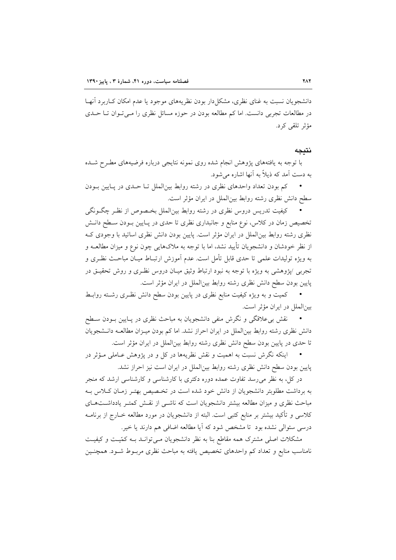دانشجویان نسبت به غنای نظری، مشکل دار بودن نظریههای موجود یا عدم امکان کـاربرد آنهـا در مطالعات تجربی دانست. اما کم مطالعه بودن در حوزه مسائل نظری را مـی تـوان تـا حـدی مؤثر تلقى كرد.

#### نتىحە

با توجه به یافتههای پژوهش انجام شده روی نمونه نتایجی درباره فرضیههای مطـرح شـده به دست آمد که ذیلاً به آنها اشاره می شود.

· کم بودن تعداد واحدهای نظری در رشته روابط بین الملل تـا حـدی در پـایین بـودن سطح دانش نظري رشته روابط بين الملل در ايران مؤثر است.

کیفیت تدریس دروس نظری در رشته روابط بین|لملل بخـصوص از نظـر چگـونگی تخصیص زمان در کلاس، نوع منابع و جانبداری نظری تا حدی در پـایین بـودن سـطح دانـش نظری رشته روابط بینالملل در ایران مؤثر است. پایین بودن دانش نظری اساتید با وجودی ک از نظر خودشان و دانشجویان تأیید نشد، اما با توجه به ملاکهایی چون نوع و میزان مطالعــه و به ويژه توليدات علمي تا حدى قابل تأمل است. عدم آموزش ارتبـاط ميـان مباحـث نظـرى و تجربی ⁄پژوهشی به ویژه با توجه به نبود ارتباط وثیق میـان دروس نظـری و روش تحقیــق در پایین بودن سطح دانش نظری رشته روابط بینالملل در ایران مؤثر است.

· کمیت و به ویژه کیفیت منابع نظری در پایین بودن سطح دانش نظـری رشــته روابــط بينالملل در ايران مؤثر است.

نقش بی علاقگی و نگرش منفی دانشجویان به مباحث نظری در پـایین بـودن سـطح دانش نظری رشته روابط بین(لملل در ایران احراز نشد. اما کم بودن میـزان مطالعــه دانــشجویان تا حدی در پایین بودن سطح دانش نظری رشته روابط بین|لملل در ایران مؤثر است.

اینکه نگرش نسبت به اهمیت و نقش نظریهها در کل و در پژوهش عـاملی مـؤثر در پایین بودن سطح دانش نظری رشته روابط بینالملل در ایران است نیز احراز نشد.

در کل، به نظر می رسد تفاوت عمده دوره دکتری با کارشناسی و کارشناسی ارشد که منجر به برداشت مطلوبتر دانشجویان از دانش خود شده است در تخـصیص بهتـر زمـان كـلاس بـه مباحث نظری و میزان مطالعه بیشتر دانشجویان است که ناشمی از نقش کمتـر یادداشـتهـای کلاسی و تأکید بیشتر بر منابع کتبی است. البته از دانشجویان در مورد مطالعه خــارج از برنامــه درسی سئوالی نشده بود تا مشخص شود که آیا مطالعه اضافی هم دارند یا خیر.

مشکلات اصلی مشترک همه مقاطع بنا به نظر دانشجویان مـی توانـد بـه کمّیـت و کیفیـت نامناسب منابع و تعداد کم واحدهای تخصیص یافته به مباحث نظری مربـوط شـود. همچنـین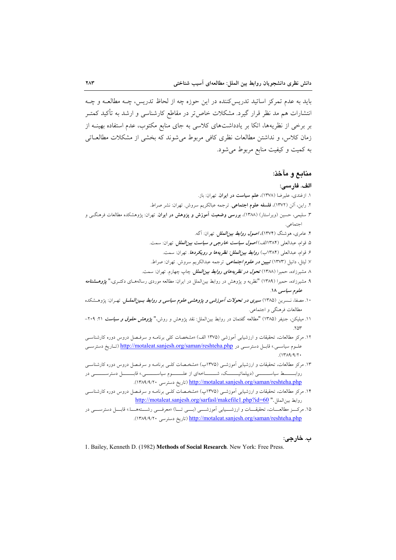بايد به عدم تمركز اساتيد تدريس كننده در اين حوزه چه از لحاظ تدريس، چـه مطالعـه و چـه انتشارات هم مد نظر قرار گیرد. مشکلات خاص تر در مقاطع کارشناسی و ارشد به تأکید کمتــر بر برخی از نظریهها، اتکا بر یادداشتهای کلاسی به جای منابع مکتوب، عدم استفاده بهینــه از زمان كلاس، و نداشتن مطالعات نظري كافي مربوط مي شوند كه بخشي از مشكلات مطالعــاتي به کمیت و کیفیت منابع مربوط می شود.

## منابع و مآخذ:

#### الف. فارسى:

- ٢. راين، آلن (١٣٧٢)، فلسفه علوم اجتماعي. ترجمه عبالكريم سروش. تهران: نشر صراط. ۳. سلیمی، حسین (ویراستار) (۱۳۸۸)، **بررسی وضعیت آموزش و پزوهش در ایران**. تهران: پژوهشکده مطالعات فرهنگــی و اجتماعي.
	- ۴. عامری، هوشنگ (۱۳۷۴)، *اصول روابط بین الملل ت*هران: آگه.

۱. ازغندي، عليرضا (١٣٧٨)، علم سياست در ايران. تهران: باز.

- ۵. قوام، عبدالعلي (۱۳۸۴الف) *اصول سياست خارجي و سياست بين الملل.* تهران: سمت.
	- ۶. قوام، عبدالعلي (۱۳۸۴ب) *روابط بين الملل: نظريهها و رويكردها.* تهران: سمت.
- ۷. لیتل، دانیل (۱۳۷۳) تع**بیی***ن در علوم اجتماعی.* ترجمه عبدالکریم سروش. تهران: صراط.
- ۸ مشیرزاده، حمیرا (۱۳۸۸) *تحول در نظریههای روابط بین|لملل.* چاپ چهارم. تهران: سمت.
- ۹. مشیرزاده، حمیرا (۱۳۸۹) "نظریه و پژوهش در روابط بینالملل در ایران: مطالعه موردی رسالههـای دکتـری،" *پژوهــشنامه* علوم سياسي ١٨.
- ۱۰. مصفا، نسمرین (۱۳۸۵) *سیری در تحولات آموزشی و یژوهشی علوم سیاسی و روابط بسین العلس.* تهـران: یژوهــشکده مطالعات فرهنگي و اجتماعي.
- ۱۱. میلیکن، جنیفر (۱۳۸۵) "مطالعه گفتمان در روابط بین|لملل: نقد پژوهش و روش،" *پژوهش حقوق و سیاست* ۲۱. ۲۰۹–  $Y \wedge Y'$
- ۱۲. مرکز مطالعات، تحقیقات و ارزشیابی اَموزشی (۱۳۷۵ الف) «مشخصات کلی برنامــه و سرفــصل دروس دوره کارشناســی علـوم سياســی.» قابــل دسترســی در http://motaleat.sanjesh.org/saman/reshteha.php (تـاريخ دسترســی  $(14A9/9)$
- ۱۳. مرکز مطالعات، تحقیقات و ارزشیابی آموزشـی (۱۳۷۵ب) «مشخـصات کلـی برنامــه و سرفـصل دروس دوره کارشناسـی روابـــــــط سیاســـــــــــی (دیپلماتیــــــــــک، شـــــــــاخهای از علــــــــوم سیاســــــــــی.» قابـــــــــل دسترســـــــــــی در http://motaleat.sanjesh.org/saman/reshteha.php (تاريخ دسترسي ١٣٨٩/٩/٢٠).
- ۱۴. مرکز مطالعات، تحقیقات و ارزشیابی آموزشـی (۱۳۷۵پ) «مشخـصات کلـی برنامـه و سرفـصل دروس دوره کارشناسـی روابط بين الملل." http://motaleat.sanjesh.org/sarfasl/makefile1.php?id=60
- ۱۵. مرکسز مطالعسات، تحقیقسات و ارزشسمیابی آموزشسمی (بسمی تسا) «معرفسمی رشستههسا.» قابسل دسترسسمی در (اتاریخ دسترسی ۱۳۸۹/۹/۲۰). http://motaleat.sanjesh.org/saman/reshteha.php (تاریخ دسترسی)

#### ب. خارجي:

1. Bailey, Kenneth D. (1982) Methods of Social Research. New York: Free Press.